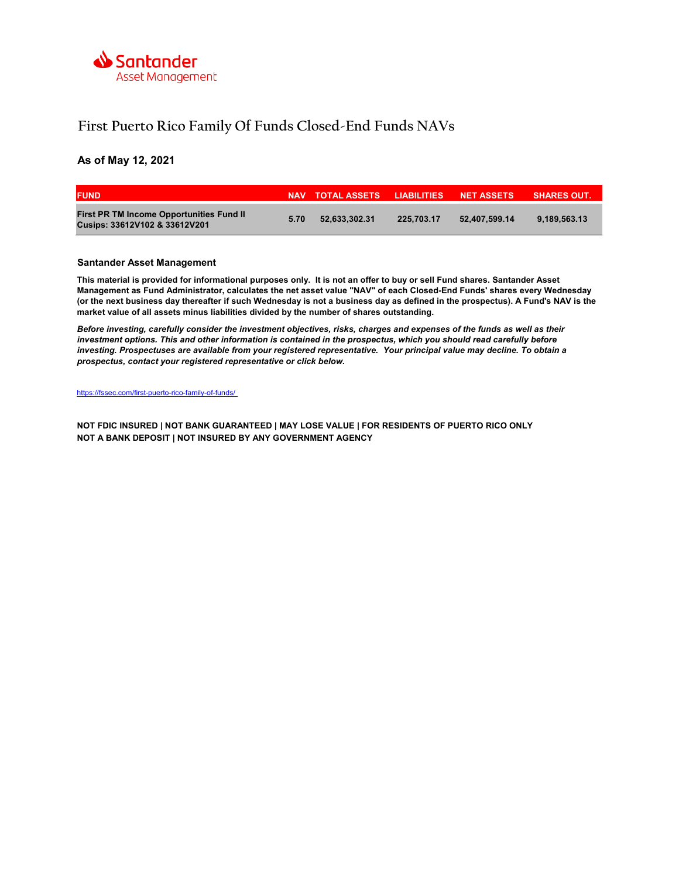

## First Puerto Rico Family Of Funds Closed-End Funds NAVs

### As of May 12, 2021

| <b>FUND</b>                                                                      |      | NAV TOTAL ASSETS LIABILITIES NET ASSETS |            |               | <b>SHARES OUT.</b> |
|----------------------------------------------------------------------------------|------|-----------------------------------------|------------|---------------|--------------------|
| <b>First PR TM Income Opportunities Fund II</b><br>Cusips: 33612V102 & 33612V201 | 5.70 | 52.633.302.31                           | 225.703.17 | 52.407.599.14 | 9.189.563.13       |

#### Santander Asset Management

This material is provided for informational purposes only. It is not an offer to buy or sell Fund shares. Santander Asset Management as Fund Administrator, calculates the net asset value "NAV" of each Closed-End Funds' shares every Wednesday (or the next business day thereafter if such Wednesday is not a business day as defined in the prospectus). A Fund's NAV is the market value of all assets minus liabilities divided by the number of shares outstanding.

Before investing, carefully consider the investment objectives, risks, charges and expenses of the funds as well as their investment options. This and other information is contained in the prospectus, which you should read carefully before investing. Prospectuses are available from your registered representative. Your principal value may decline. To obtain a prospectus, contact your registered representative or click below.

https://fssec.com/first-puerto-rico-family-of-funds/

NOT FDIC INSURED | NOT BANK GUARANTEED | MAY LOSE VALUE | FOR RESIDENTS OF PUERTO RICO ONLY NOT A BANK DEPOSIT | NOT INSURED BY ANY GOVERNMENT AGENCY